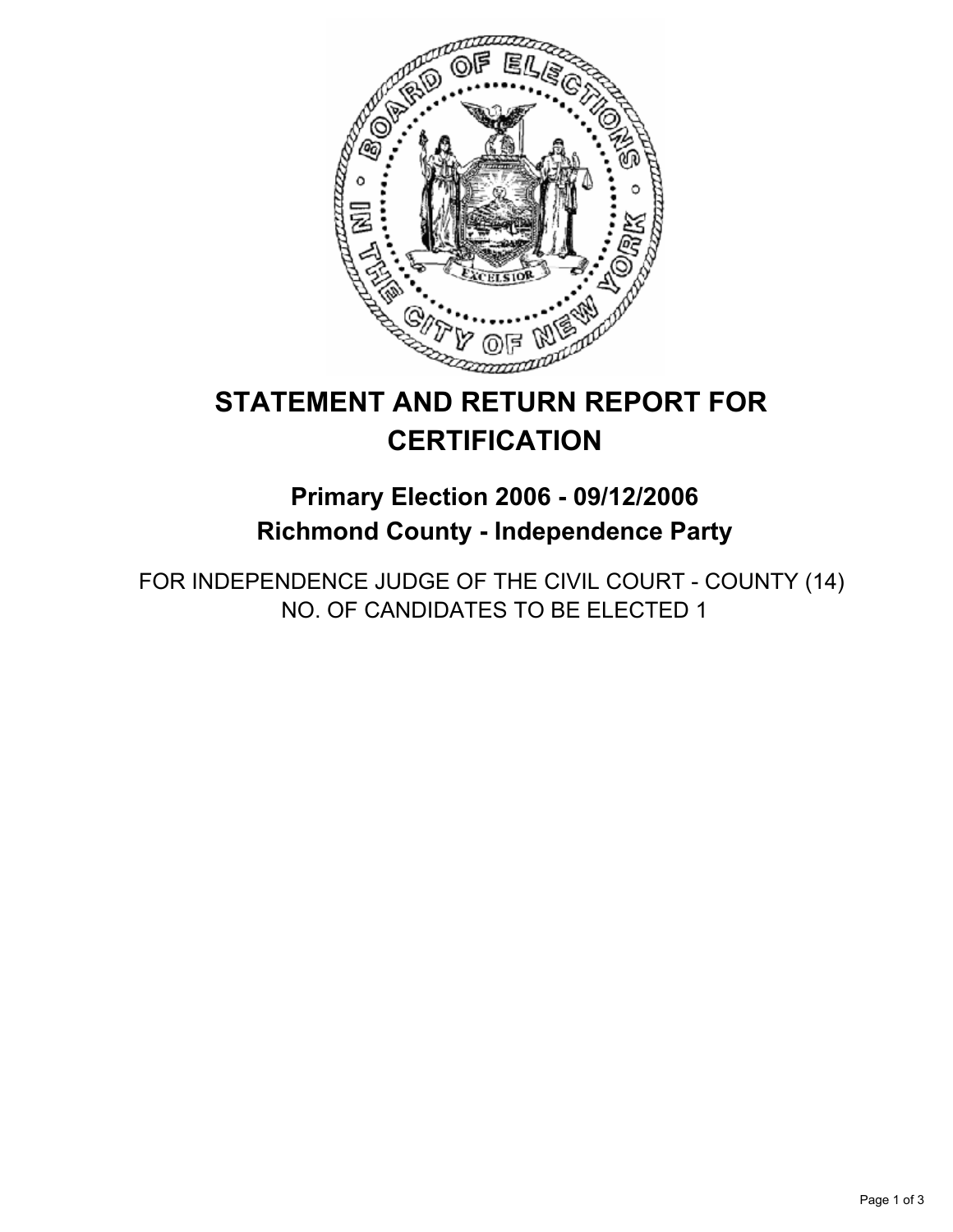

# **STATEMENT AND RETURN REPORT FOR CERTIFICATION**

**Primary Election 2006 - 09/12/2006 Richmond County - Independence Party**

FOR INDEPENDENCE JUDGE OF THE CIVIL COURT - COUNTY (14) NO. OF CANDIDATES TO BE ELECTED 1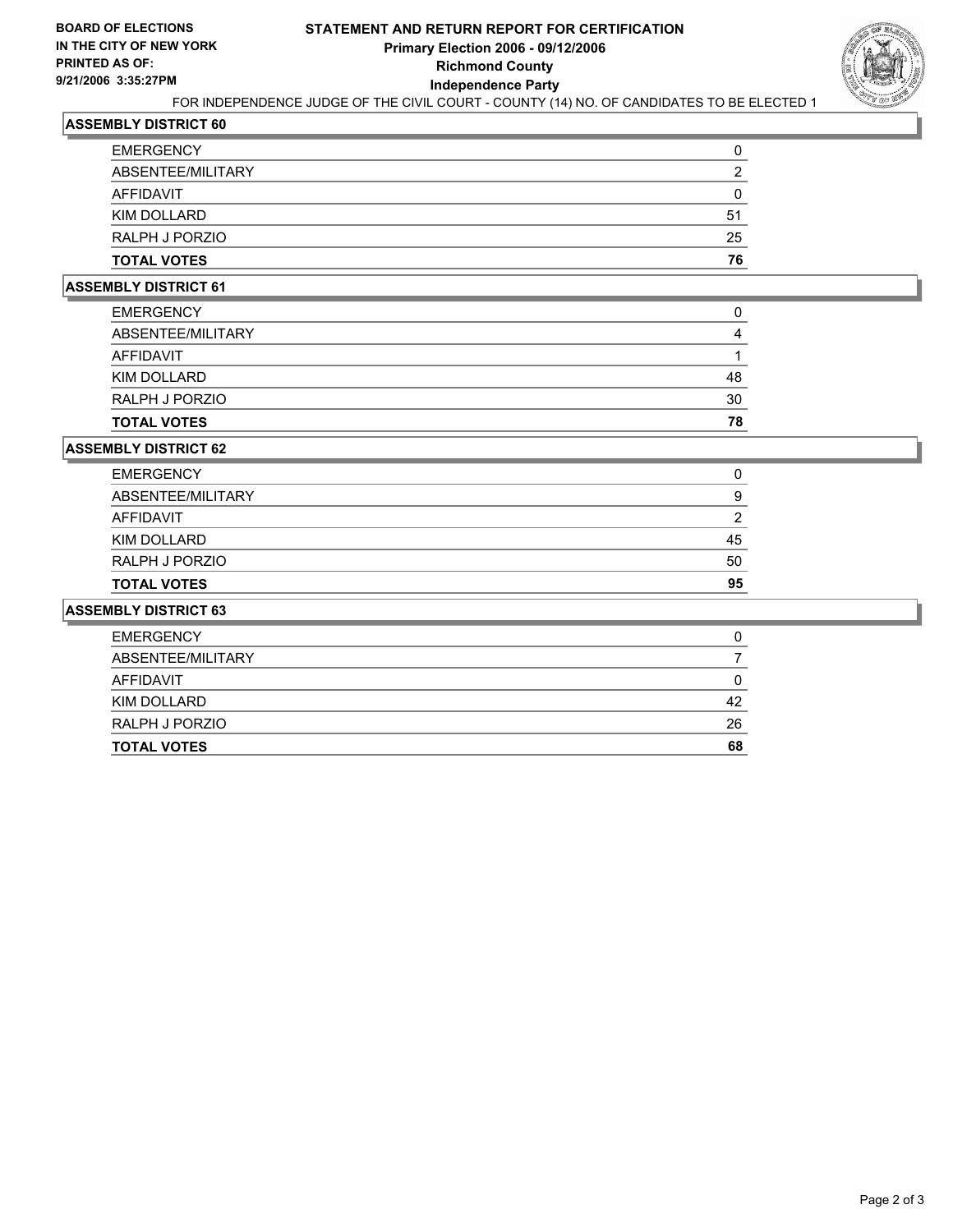

# FOR INDEPENDENCE JUDGE OF THE CIVIL COURT - COUNTY (14) NO. OF CANDIDATES TO BE ELECTED 1

# **ASSEMBLY DISTRICT 60**

| <b>EMERGENCY</b>   |    |
|--------------------|----|
| ABSENTEE/MILITARY  |    |
| AFFIDAVIT          |    |
| KIM DOLLARD        | 51 |
| RALPH J PORZIO     | 25 |
| <b>TOTAL VOTES</b> | 76 |

## **ASSEMBLY DISTRICT 61**

| <b>TOTAL VOTES</b> | 78 |
|--------------------|----|
| RALPH J PORZIO     | 30 |
| KIM DOLLARD        | 48 |
| AFFIDAVIT          |    |
| ABSENTEE/MILITARY  |    |
| <b>EMERGENCY</b>   |    |

#### **ASSEMBLY DISTRICT 62**

| <b>TOTAL VOTES</b> | 95 |
|--------------------|----|
| RALPH J PORZIO     | 50 |
| KIM DOLLARD        | 45 |
| AFFIDAVIT          |    |
| ABSENTEE/MILITARY  | 9  |
| <b>EMERGENCY</b>   |    |

### **ASSEMBLY DISTRICT 63**

| <b>EMERGENCY</b>   | O  |
|--------------------|----|
| ABSENTEE/MILITARY  |    |
| AFFIDAVIT          |    |
| KIM DOLLARD        | 42 |
| RALPH J PORZIO     | 26 |
| <b>TOTAL VOTES</b> | 68 |